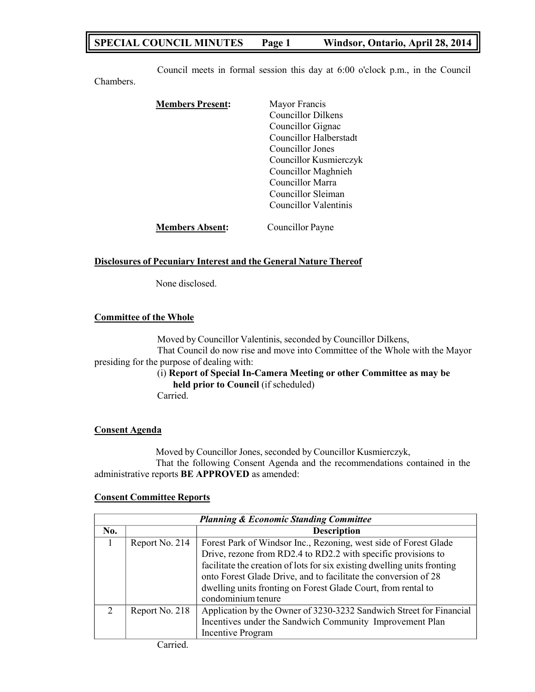# **SPECIAL COUNCIL MINUTES Page 1 Windsor, Ontario, April 28, 2014**

Council meets in formal session this day at 6:00 o'clock p.m., in the Council

| <b>Members Present:</b> | Mayor Francis             |
|-------------------------|---------------------------|
|                         | <b>Councillor Dilkens</b> |
|                         |                           |
|                         | Councillor Gignac         |
|                         | Councillor Halberstadt    |
|                         | Councillor Jones          |
|                         | Councillor Kusmierczyk    |
|                         | Councillor Maghnieh       |
|                         | Councillor Marra          |
|                         | Councillor Sleiman        |
|                         | Councillor Valentinis     |
| <b>Members Absent:</b>  | Councillor Payne          |

### **Disclosures of Pecuniary Interest and the General Nature Thereof**

None disclosed.

### **Committee of the Whole**

Chambers.

Moved by Councillor Valentinis, seconded by Councillor Dilkens, That Council do now rise and move into Committee of the Whole with the Mayor presiding for the purpose of dealing with:

# (i) **Report of Special In-Camera Meeting or other Committee as may be held prior to Council** (if scheduled)

Carried.

## **Consent Agenda**

Moved by Councillor Jones, seconded by Councillor Kusmierczyk, That the following Consent Agenda and the recommendations contained in the administrative reports **BE APPROVED** as amended:

### **Consent Committee Reports**

| <b>Planning &amp; Economic Standing Committee</b> |                |                                                                                                                                                                                                                                                                                                                                                                         |  |  |
|---------------------------------------------------|----------------|-------------------------------------------------------------------------------------------------------------------------------------------------------------------------------------------------------------------------------------------------------------------------------------------------------------------------------------------------------------------------|--|--|
| No.                                               |                | <b>Description</b>                                                                                                                                                                                                                                                                                                                                                      |  |  |
|                                                   | Report No. 214 | Forest Park of Windsor Inc., Rezoning, west side of Forest Glade<br>Drive, rezone from RD2.4 to RD2.2 with specific provisions to<br>facilitate the creation of lots for six existing dwelling units fronting<br>onto Forest Glade Drive, and to facilitate the conversion of 28<br>dwelling units fronting on Forest Glade Court, from rental to<br>condominium tenure |  |  |
| $\mathcal{D}$                                     | Report No. 218 | Application by the Owner of 3230-3232 Sandwich Street for Financial<br>Incentives under the Sandwich Community Improvement Plan<br>Incentive Program                                                                                                                                                                                                                    |  |  |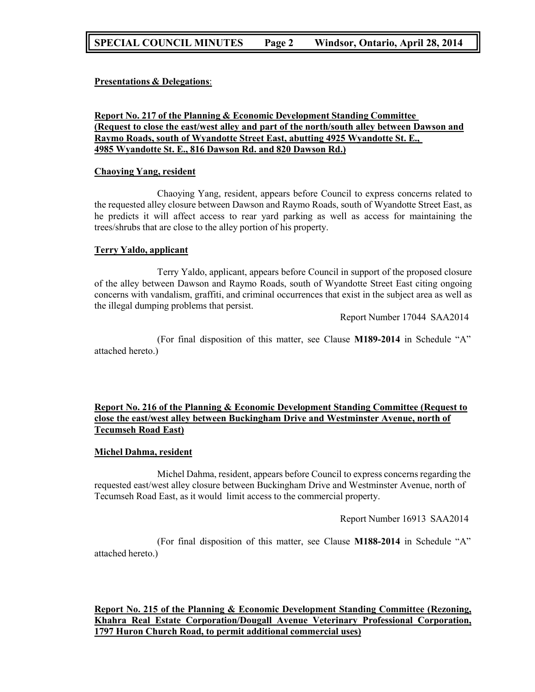# **SPECIAL COUNCIL MINUTES Page 2 Windsor, Ontario, April 28, 2014**

## **Presentations & Delegations**:

## **Report No. 217 of the Planning & Economic Development Standing Committee (Request to close the east/west alley and part of the north/south alley between Dawson and Raymo Roads, south of Wyandotte Street East, abutting 4925 Wyandotte St. E., 4985 Wyandotte St. E., 816 Dawson Rd. and 820 Dawson Rd.)**

### **Chaoying Yang, resident**

Chaoying Yang, resident, appears before Council to express concerns related to the requested alley closure between Dawson and Raymo Roads, south of Wyandotte Street East, as he predicts it will affect access to rear yard parking as well as access for maintaining the trees/shrubs that are close to the alley portion of his property.

### **Terry Yaldo, applicant**

Terry Yaldo, applicant, appears before Council in support of the proposed closure of the alley between Dawson and Raymo Roads, south of Wyandotte Street East citing ongoing concerns with vandalism, graffiti, and criminal occurrences that exist in the subject area as well as the illegal dumping problems that persist.

Report Number 17044 SAA2014

(For final disposition of this matter, see Clause **M189-2014** in Schedule "A" attached hereto.)

## **Report No. 216 of the Planning & Economic Development Standing Committee (Request to close the east/west alley between Buckingham Drive and Westminster Avenue, north of Tecumseh Road East)**

### **Michel Dahma, resident**

Michel Dahma, resident, appears before Council to express concerns regarding the requested east/west alley closure between Buckingham Drive and Westminster Avenue, north of Tecumseh Road East, as it would limit access to the commercial property.

Report Number 16913 SAA2014

(For final disposition of this matter, see Clause **M188-2014** in Schedule "A" attached hereto.)

**Report No. 215 of the Planning & Economic Development Standing Committee (Rezoning, Khahra Real Estate Corporation/Dougall Avenue Veterinary Professional Corporation, 1797 Huron Church Road, to permit additional commercial uses)**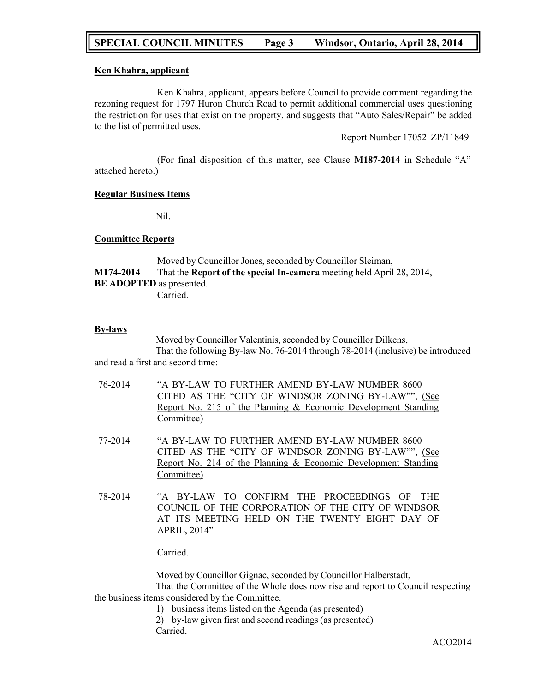## **SPECIAL COUNCIL MINUTES Page 3 Windsor, Ontario, April 28, 2014**

## **Ken Khahra, applicant**

Ken Khahra, applicant, appears before Council to provide comment regarding the rezoning request for 1797 Huron Church Road to permit additional commercial uses questioning the restriction for uses that exist on the property, and suggests that "Auto Sales/Repair" be added to the list of permitted uses.

Report Number 17052 ZP/11849

(For final disposition of this matter, see Clause **M187-2014** in Schedule "A" attached hereto.)

### **Regular Business Items**

Nil.

### **Committee Reports**

Moved by Councillor Jones, seconded by Councillor Sleiman, **M174-2014** That the **Report of the special In-camera** meeting held April 28, 2014, **BE ADOPTED** as presented. Carried.

### **By-laws**

Moved by Councillor Valentinis, seconded by Councillor Dilkens, That the following By-law No. 76-2014 through 78-2014 (inclusive) be introduced and read a first and second time:

- 76-2014 "A BY-LAW TO FURTHER AMEND BY-LAW NUMBER 8600 CITED AS THE "CITY OF WINDSOR ZONING BY-LAW"", (See Report No. 215 of the Planning & Economic Development Standing Committee)
- 77-2014 "A BY-LAW TO FURTHER AMEND BY-LAW NUMBER 8600 CITED AS THE "CITY OF WINDSOR ZONING BY-LAW"", (See Report No. 214 of the Planning & Economic Development Standing Committee)
- 78-2014 "A BY-LAW TO CONFIRM THE PROCEEDINGS OF THE COUNCIL OF THE CORPORATION OF THE CITY OF WINDSOR AT ITS MEETING HELD ON THE TWENTY EIGHT DAY OF APRIL, 2014"

Carried.

Moved by Councillor Gignac, seconded by Councillor Halberstadt, That the Committee of the Whole does now rise and report to Council respecting the business items considered by the Committee.

- 1) business items listed on the Agenda (as presented)
- 2) by-law given first and second readings (as presented) Carried.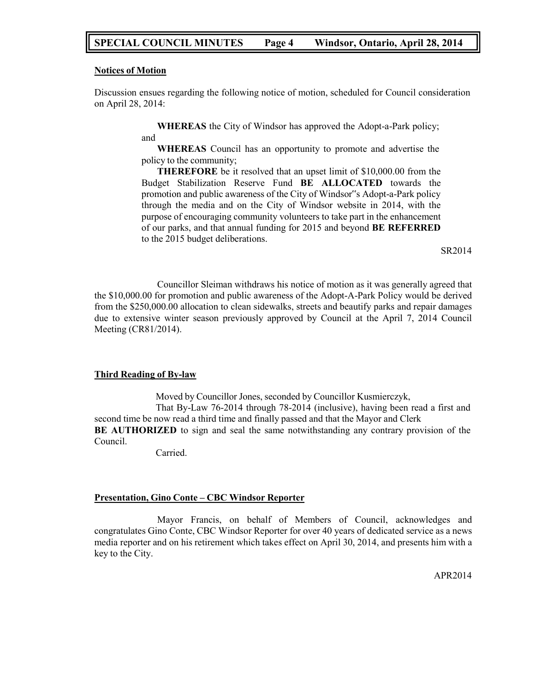## **SPECIAL COUNCIL MINUTES Page 4 Windsor, Ontario, April 28, 2014**

#### **Notices of Motion**

Discussion ensues regarding the following notice of motion, scheduled for Council consideration on April 28, 2014:

> and **WHEREAS** the City of Windsor has approved the Adopt-a-Park policy;

> **WHEREAS** Council has an opportunity to promote and advertise the policy to the community;

> **THEREFORE** be it resolved that an upset limit of \$10,000.00 from the Budget Stabilization Reserve Fund **BE ALLOCATED** towards the promotion and public awareness of the City of Windsor"s Adopt-a-Park policy through the media and on the City of Windsor website in 2014, with the purpose of encouraging community volunteers to take part in the enhancement of our parks, and that annual funding for 2015 and beyond **BE REFERRED** to the 2015 budget deliberations.

> > SR2014

Councillor Sleiman withdraws his notice of motion as it was generally agreed that the \$10,000.00 for promotion and public awareness of the Adopt-A-Park Policy would be derived from the \$250,000.00 allocation to clean sidewalks, streets and beautify parks and repair damages due to extensive winter season previously approved by Council at the April 7, 2014 Council Meeting (CR81/2014).

### **Third Reading of By-law**

Moved by Councillor Jones, seconded by Councillor Kusmierczyk, That By-Law 76-2014 through 78-2014 (inclusive), having been read a first and second time be now read a third time and finally passed and that the Mayor and Clerk **BE AUTHORIZED** to sign and seal the same notwithstanding any contrary provision of the Council.

Carried.

### **Presentation, Gino Conte – CBC Windsor Reporter**

Mayor Francis, on behalf of Members of Council, acknowledges and congratulates Gino Conte, CBC Windsor Reporter for over 40 years of dedicated service as a news media reporter and on his retirement which takes effect on April 30, 2014, and presents him with a key to the City.

APR2014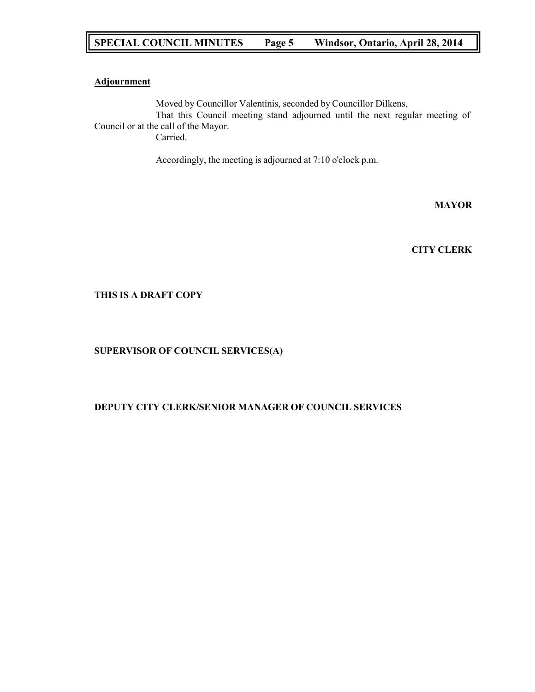# **SPECIAL COUNCIL MINUTES Page 5 Windsor, Ontario, April 28, 2014**

## **Adjournment**

Moved by Councillor Valentinis, seconded by Councillor Dilkens, That this Council meeting stand adjourned until the next regular meeting of Council or at the call of the Mayor. Carried.

Accordingly, the meeting is adjourned at 7:10 o'clock p.m.

**MAYOR**

**CITY CLERK**

## **THIS IS A DRAFT COPY**

## **SUPERVISOR OF COUNCIL SERVICES(A)**

## **DEPUTY CITY CLERK/SENIOR MANAGER OF COUNCIL SERVICES**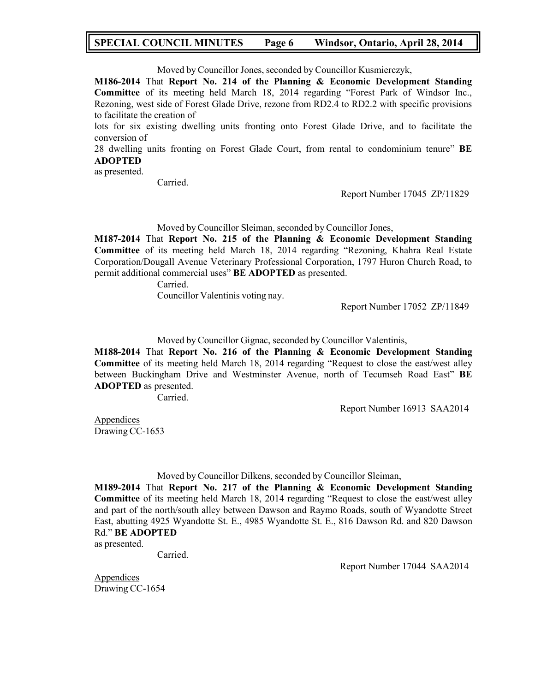## **SPECIAL COUNCIL MINUTES Page 6 Windsor, Ontario, April 28, 2014**

Moved by Councillor Jones, seconded by Councillor Kusmierczyk,

**M186-2014** That **Report No. 214 of the Planning & Economic Development Standing Committee** of its meeting held March 18, 2014 regarding "Forest Park of Windsor Inc., Rezoning, west side of Forest Glade Drive, rezone from RD2.4 to RD2.2 with specific provisions to facilitate the creation of

lots for six existing dwelling units fronting onto Forest Glade Drive, and to facilitate the conversion of

28 dwelling units fronting on Forest Glade Court, from rental to condominium tenure" **BE ADOPTED**

## as presented.

Carried.

Report Number 17045 ZP/11829

Moved by Councillor Sleiman, seconded by Councillor Jones,

**M187-2014** That **Report No. 215 of the Planning & Economic Development Standing Committee** of its meeting held March 18, 2014 regarding "Rezoning, Khahra Real Estate Corporation/Dougall Avenue Veterinary Professional Corporation, 1797 Huron Church Road, to permit additional commercial uses" **BE ADOPTED** as presented.

Carried.

Councillor Valentinis voting nay.

Report Number 17052 ZP/11849

Moved by Councillor Gignac, seconded by Councillor Valentinis,

**M188-2014** That **Report No. 216 of the Planning & Economic Development Standing Committee** of its meeting held March 18, 2014 regarding "Request to close the east/west alley between Buckingham Drive and Westminster Avenue, north of Tecumseh Road East" **BE ADOPTED** as presented.

Carried.

Report Number 16913 SAA2014

Appendices Drawing CC-1653

Moved by Councillor Dilkens, seconded by Councillor Sleiman,

**M189-2014** That **Report No. 217 of the Planning & Economic Development Standing Committee** of its meeting held March 18, 2014 regarding "Request to close the east/west alley and part of the north/south alley between Dawson and Raymo Roads, south of Wyandotte Street East, abutting 4925 Wyandotte St. E., 4985 Wyandotte St. E., 816 Dawson Rd. and 820 Dawson Rd." **BE ADOPTED**

as presented.

Carried.

Report Number 17044 SAA2014

Appendices Drawing CC-1654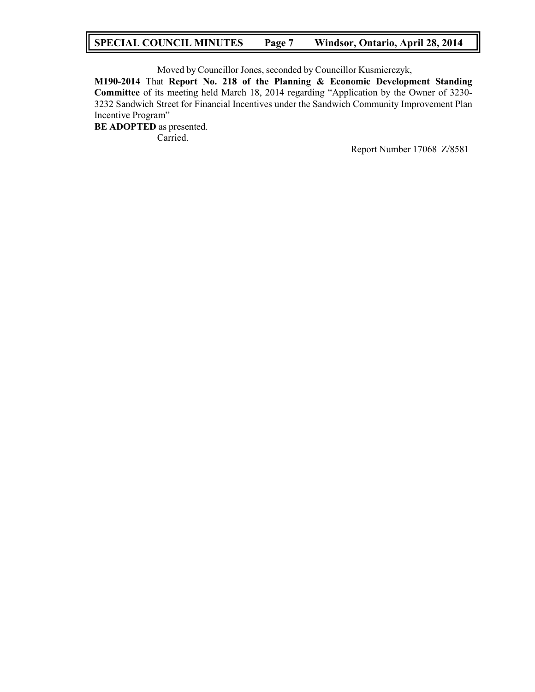## **SPECIAL COUNCIL MINUTES Page 7 Windsor, Ontario, April 28, 2014**

Moved by Councillor Jones, seconded by Councillor Kusmierczyk, **M190-2014** That **Report No. 218 of the Planning & Economic Development Standing Committee** of its meeting held March 18, 2014 regarding "Application by the Owner of 3230- 3232 Sandwich Street for Financial Incentives under the Sandwich Community Improvement Plan Incentive Program" **BE ADOPTED** as presented.

Carried.

Report Number 17068 Z/8581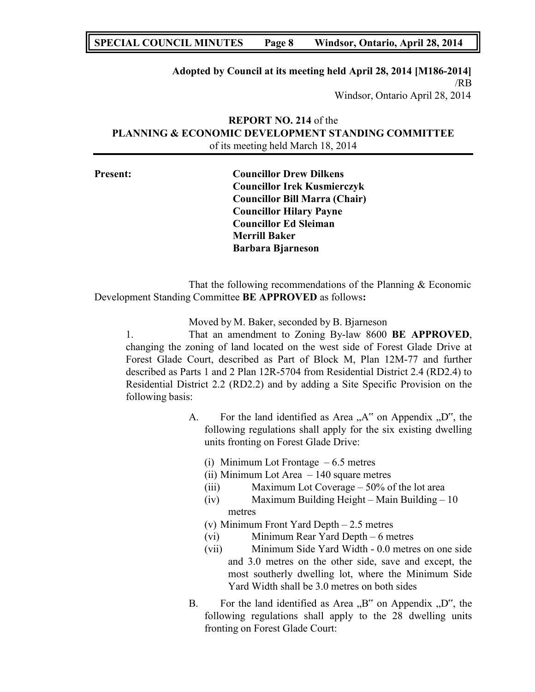## **SPECIAL COUNCIL MINUTES Page 8 Windsor, Ontario, April 28, 2014**

## **Adopted by Council at its meeting held April 28, 2014 [M186-2014]** /RB Windsor, Ontario April 28, 2014

# **REPORT NO. 214** of the **PLANNING & ECONOMIC DEVELOPMENT STANDING COMMITTEE** of its meeting held March 18, 2014

| <b>Present:</b> | <b>Councillor Drew Dilkens</b>       |  |
|-----------------|--------------------------------------|--|
|                 | <b>Councillor Irek Kusmierczyk</b>   |  |
|                 | <b>Councillor Bill Marra (Chair)</b> |  |
|                 | <b>Councillor Hilary Payne</b>       |  |
|                 | <b>Councillor Ed Sleiman</b>         |  |
|                 | <b>Merrill Baker</b>                 |  |
|                 | <b>Barbara Bjarneson</b>             |  |

That the following recommendations of the Planning & Economic Development Standing Committee **BE APPROVED** as follows**:**

Moved by M. Baker, seconded by B. Bjarneson

1. That an amendment to Zoning By-law 8600 **BE APPROVED**, changing the zoning of land located on the west side of Forest Glade Drive at Forest Glade Court, described as Part of Block M, Plan 12M-77 and further described as Parts 1 and 2 Plan 12R-5704 from Residential District 2.4 (RD2.4) to Residential District 2.2 (RD2.2) and by adding a Site Specific Provision on the following basis:

- A. For the land identified as Area  $, A^{\prime\prime}$  on Appendix  $, D^{\prime\prime}$ , the following regulations shall apply for the six existing dwelling units fronting on Forest Glade Drive:
	- (i) Minimum Lot Frontage  $-6.5$  metres
	- (ii) Minimum Lot Area 140 square metres
	- (iii) Maximum Lot Coverage 50% of the lot area
	- (iv) Maximum Building Height Main Building 10 metres
	- (v) Minimum Front Yard Depth 2.5 metres
	- (vi) Minimum Rear Yard Depth 6 metres
	- (vii) Minimum Side Yard Width 0.0 metres on one side and 3.0 metres on the other side, save and except, the most southerly dwelling lot, where the Minimum Side Yard Width shall be 3.0 metres on both sides
- B. For the land identified as Area  $,B^{\prime\prime}$  on Appendix  $,D^{\prime\prime}$ , the following regulations shall apply to the 28 dwelling units fronting on Forest Glade Court: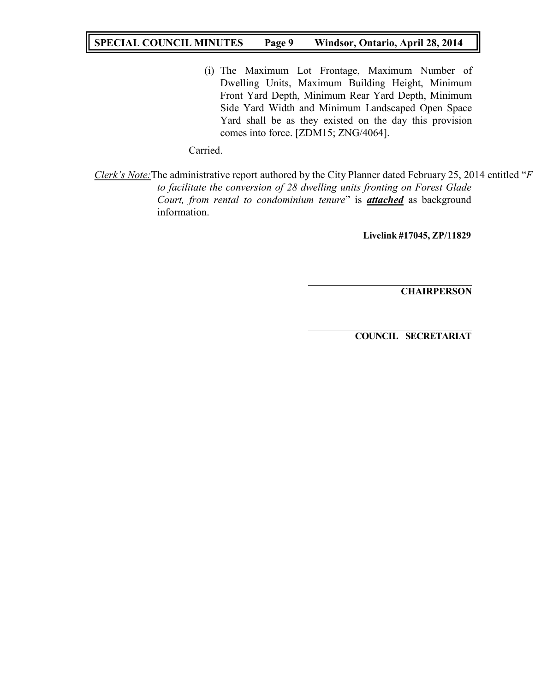# **SPECIAL COUNCIL MINUTES Page 9 Windsor, Ontario, April 28, 2014**

(i) The Maximum Lot Frontage, Maximum Number of Dwelling Units, Maximum Building Height, Minimum Front Yard Depth, Minimum Rear Yard Depth, Minimum Side Yard Width and Minimum Landscaped Open Space Yard shall be as they existed on the day this provision comes into force. [ZDM15; ZNG/4064].

Carried.

*Clerk's Note:*The administrative report authored by the City Planner dated February 25, 2014 entitled "*F to facilitate the conversion of 28 dwelling units fronting on Forest Glade Court, from rental to condominium tenure*" is *attached* as background information.

**Livelink #17045, ZP/11829**

**CHAIRPERSON**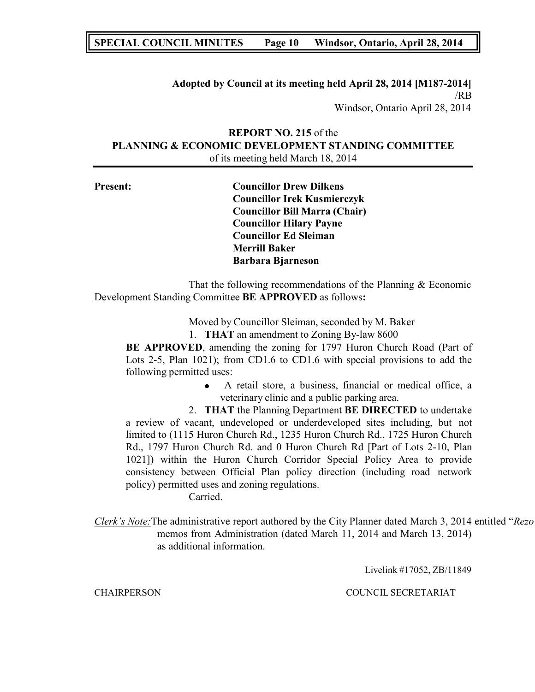## **SPECIAL COUNCIL MINUTES Page 10 Windsor, Ontario, April 28, 2014**

## **Adopted by Council at its meeting held April 28, 2014 [M187-2014]** /RB Windsor, Ontario April 28, 2014

## **REPORT NO. 215** of the **PLANNING & ECONOMIC DEVELOPMENT STANDING COMMITTEE** of its meeting held March 18, 2014

| <b>Present:</b> | <b>Councillor Drew Dilkens</b>       |
|-----------------|--------------------------------------|
|                 | <b>Councillor Irek Kusmierczyk</b>   |
|                 | <b>Councillor Bill Marra (Chair)</b> |
|                 | <b>Councillor Hilary Payne</b>       |
|                 | <b>Councillor Ed Sleiman</b>         |
|                 | <b>Merrill Baker</b>                 |
|                 | <b>Barbara Bjarneson</b>             |
|                 |                                      |

That the following recommendations of the Planning & Economic Development Standing Committee **BE APPROVED** as follows**:**

Moved by Councillor Sleiman, seconded by M. Baker

1. **THAT** an amendment to Zoning By-law 8600

**BE APPROVED**, amending the zoning for 1797 Huron Church Road (Part of Lots 2-5, Plan 1021); from CD1.6 to CD1.6 with special provisions to add the following permitted uses:

> A retail store, a business, financial or medical office, a veterinary clinic and a public parking area.

2. **THAT** the Planning Department **BE DIRECTED** to undertake a review of vacant, undeveloped or underdeveloped sites including, but not limited to (1115 Huron Church Rd., 1235 Huron Church Rd., 1725 Huron Church Rd., 1797 Huron Church Rd. and 0 Huron Church Rd [Part of Lots 2-10, Plan 1021]) within the Huron Church Corridor Special Policy Area to provide consistency between Official Plan policy direction (including road network policy) permitted uses and zoning regulations.

Carried.

*Clerk's Note:*The administrative report authored by the City Planner dated March 3, 2014 entitled "*Rezo* memos from Administration (dated March 11, 2014 and March 13, 2014) as additional information.

Livelink #17052, ZB/11849

CHAIRPERSON COUNCIL SECRETARIAT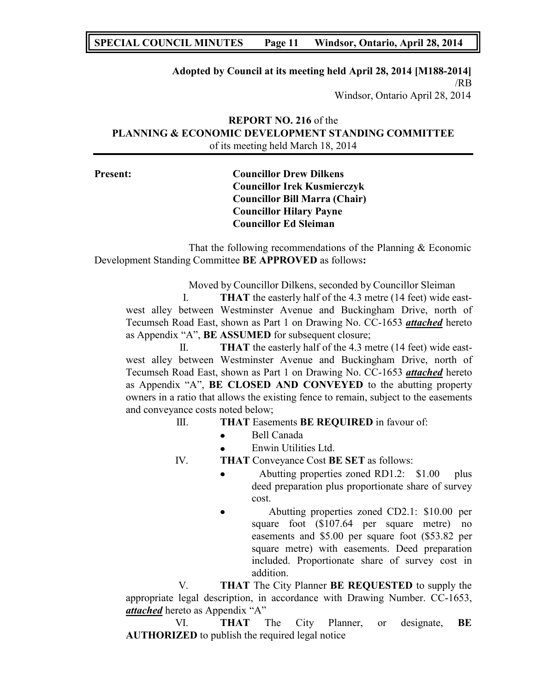# **SPECIAL COUNCIL MINUTES Page 11 Windsor, Ontario, April 28, 2014**

## **Adopted by Council at its meeting held April 28, 2014 [M188-2014]** /RB Windsor, Ontario April 28, 2014

# **REPORT NO. 216** of the **PLANNING & ECONOMIC DEVELOPMENT STANDING COMMITTEE** of its meeting held March 18, 2014

# **Present: Councillor Drew Dilkens Councillor Irek Kusmierczyk Councillor Bill Marra (Chair) Councillor Hilary Payne Councillor Ed Sleiman**

That the following recommendations of the Planning & Economic Development Standing Committee **BE APPROVED** as follows**:**

Moved by Councillor Dilkens, seconded by Councillor Sleiman

I. **THAT** the easterly half of the 4.3 metre (14 feet) wide eastwest alley between Westminster Avenue and Buckingham Drive, north of Tecumseh Road East, shown as Part 1 on Drawing No. CC-1653 *attached* hereto as Appendix "A", **BE ASSUMED** for subsequent closure;

II. **THAT** the easterly half of the 4.3 metre (14 feet) wide eastwest alley between Westminster Avenue and Buckingham Drive, north of Tecumseh Road East, shown as Part 1 on Drawing No. CC-1653 *attached* hereto as Appendix "A", **BE CLOSED AND CONVEYED** to the abutting property owners in a ratio that allows the existing fence to remain, subject to the easements and conveyance costs noted below;

## III. **THAT** Easements **BE REQUIRED** in favour of:

- Bell Canada  $\bullet$
- Enwin Utilities Ltd.  $\bullet$

IV. **THAT** Conveyance Cost **BE SET** as follows:

- Abutting properties zoned RD1.2: \$1.00 plus deed preparation plus proportionate share of survey cost.
- Abutting properties zoned CD2.1: \$10.00 per square foot (\$107.64 per square metre) no easements and \$5.00 per square foot (\$53.82 per square metre) with easements. Deed preparation included. Proportionate share of survey cost in addition.

V. **THAT** The City Planner **BE REQUESTED** to supply the appropriate legal description, in accordance with Drawing Number. CC-1653, *attached* hereto as Appendix "A"

VI. **THAT** The City Planner, or designate, **BE AUTHORIZED** to publish the required legal notice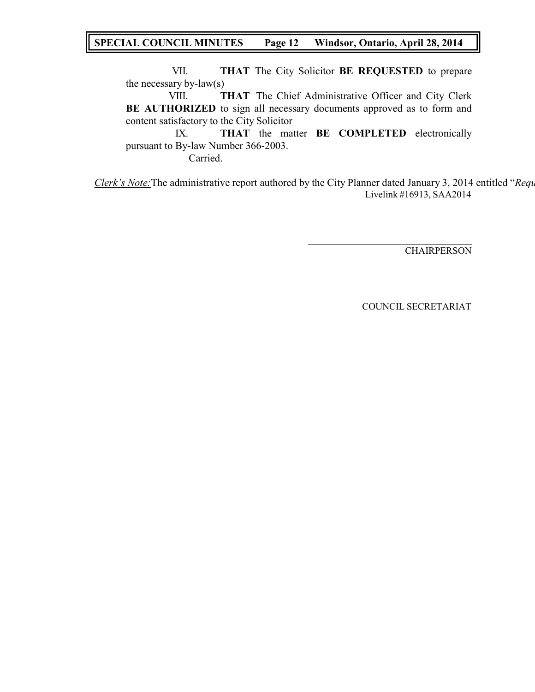# **SPECIAL COUNCIL MINUTES Page 12 Windsor, Ontario, April 28, 2014**

VII. **THAT** The City Solicitor **BE REQUESTED** to prepare the necessary by-law(s)

VIII. **THAT** The Chief Administrative Officer and City Clerk **BE AUTHORIZED** to sign all necessary documents approved as to form and content satisfactory to the City Solicitor

IX. **THAT** the matter **BE COMPLETED** electronically pursuant to By-law Number 366-2003. Carried.

*Clerk's Note:*The administrative report authored by the City Planner dated January 3, 2014 entitled "*Requ* Livelink #16913, SAA2014

**CHAIRPERSON**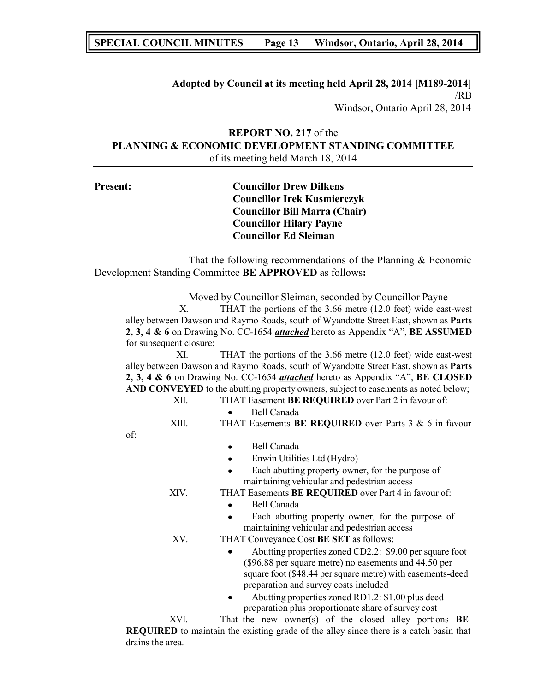## **SPECIAL COUNCIL MINUTES Page 13 Windsor, Ontario, April 28, 2014**

## **Adopted by Council at its meeting held April 28, 2014 [M189-2014]** /RB Windsor, Ontario April 28, 2014

## **REPORT NO. 217** of the **PLANNING & ECONOMIC DEVELOPMENT STANDING COMMITTEE** of its meeting held March 18, 2014

**Present: Councillor Drew Dilkens Councillor Irek Kusmierczyk Councillor Bill Marra (Chair) Councillor Hilary Payne Councillor Ed Sleiman** That the following recommendations of the Planning & Economic Development Standing Committee **BE APPROVED** as follows**:** Moved by Councillor Sleiman, seconded by Councillor Payne X. THAT the portions of the 3.66 metre (12.0 feet) wide east-west alley between Dawson and Raymo Roads, south of Wyandotte Street East, shown as **Parts 2, 3, 4 & 6** on Drawing No. CC-1654 *attached* hereto as Appendix "A", **BE ASSUMED** for subsequent closure; XI. THAT the portions of the 3.66 metre (12.0 feet) wide east-west alley between Dawson and Raymo Roads, south of Wyandotte Street East, shown as **Parts 2, 3, 4 & 6** on Drawing No. CC-1654 *attached* hereto as Appendix "A", **BE CLOSED AND CONVEYED** to the abutting property owners, subject to easements as noted below; XII. THAT Easement **BE REQUIRED** over Part 2 in favour of: Bell Canada  $\bullet$ XIII. THAT Easements **BE REQUIRED** over Parts 3 & 6 in favour of: Bell Canada  $\bullet$ Enwin Utilities Ltd (Hydro)  $\bullet$ Each abutting property owner, for the purpose of maintaining vehicular and pedestrian access XIV. THAT Easements **BE REQUIRED** over Part 4 in favour of: Bell Canada Each abutting property owner, for the purpose of maintaining vehicular and pedestrian access XV. THAT Conveyance Cost **BE SET** as follows: Abutting properties zoned CD2.2: \$9.00 per square foot (\$96.88 per square metre) no easements and 44.50 per square foot (\$48.44 per square metre) with easements-deed preparation and survey costs included Abutting properties zoned RD1.2: \$1.00 plus deed preparation plus proportionate share of survey cost

XVI. That the new owner(s) of the closed alley portions **BE REQUIRED** to maintain the existing grade of the alley since there is a catch basin that drains the area.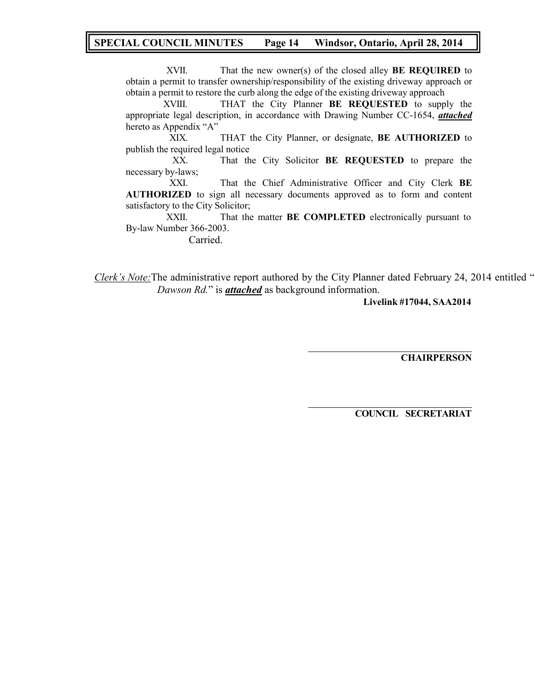## **SPECIAL COUNCIL MINUTES Page 14 Windsor, Ontario, April 28, 2014**

XVII. That the new owner(s) of the closed alley **BE REQUIRED** to obtain a permit to transfer ownership/responsibility of the existing driveway approach or obtain a permit to restore the curb along the edge of the existing driveway approach

XVIII. THAT the City Planner **BE REQUESTED** to supply the appropriate legal description, in accordance with Drawing Number CC-1654, *attached* hereto as Appendix "A"

XIX. THAT the City Planner, or designate, **BE AUTHORIZED** to publish the required legal notice

XX. That the City Solicitor **BE REQUESTED** to prepare the necessary by-laws;

XXI. That the Chief Administrative Officer and City Clerk **BE AUTHORIZED** to sign all necessary documents approved as to form and content satisfactory to the City Solicitor;

XXII. That the matter **BE COMPLETED** electronically pursuant to By-law Number 366-2003.

Carried.

*Clerk's Note:*The administrative report authored by the City Planner dated February 24, 2014 entitled " *Dawson Rd.*" is *attached* as background information.

**Livelink #17044, SAA2014**

**CHAIRPERSON**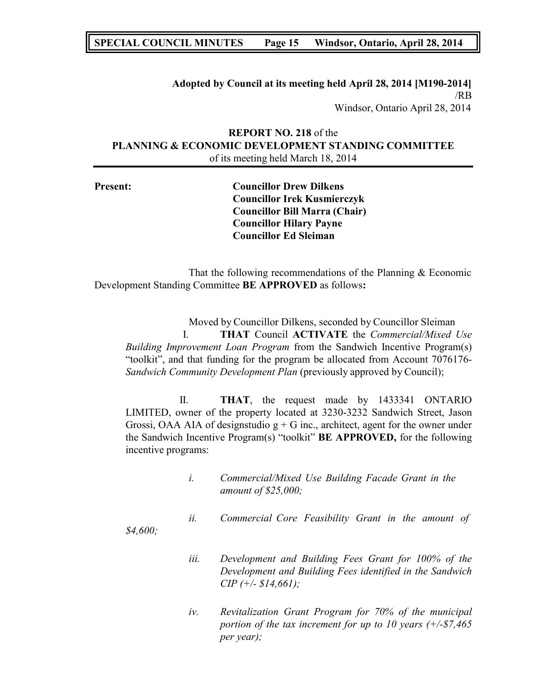## **SPECIAL COUNCIL MINUTES Page 15 Windsor, Ontario, April 28, 2014**

## **Adopted by Council at its meeting held April 28, 2014 [M190-2014]** /RB Windsor, Ontario April 28, 2014

## **REPORT NO. 218** of the **PLANNING & ECONOMIC DEVELOPMENT STANDING COMMITTEE** of its meeting held March 18, 2014

**Present: Councillor Drew Dilkens Councillor Irek Kusmierczyk Councillor Bill Marra (Chair) Councillor Hilary Payne Councillor Ed Sleiman**

That the following recommendations of the Planning & Economic Development Standing Committee **BE APPROVED** as follows**:**

Moved by Councillor Dilkens, seconded by Councillor Sleiman I. **THAT** Council **ACTIVATE** the *Commercial/Mixed Use Building Improvement Loan Program* from the Sandwich Incentive Program(s) "toolkit", and that funding for the program be allocated from Account 7076176- *Sandwich Community Development Plan* (previously approved by Council);

II. **THAT**, the request made by 1433341 ONTARIO LIMITED, owner of the property located at 3230-3232 Sandwich Street, Jason Grossi, OAA AIA of designstudio  $g + G$  inc., architect, agent for the owner under the Sandwich Incentive Program(s) "toolkit" **BE APPROVED,** for the following incentive programs:

- *i. Commercial/Mixed Use Building Facade Grant in the amount of \$25,000;*
- *ii. Commercial Core Feasibility Grant in the amount of*

*\$4,600;*

- *iii. Development and Building Fees Grant for 100% of the Development and Building Fees identified in the Sandwich CIP (+/- \$14,661);*
- *iv. Revitalization Grant Program for 70% of the municipal portion of the tax increment for up to 10 years (+/-\$7,465 per year);*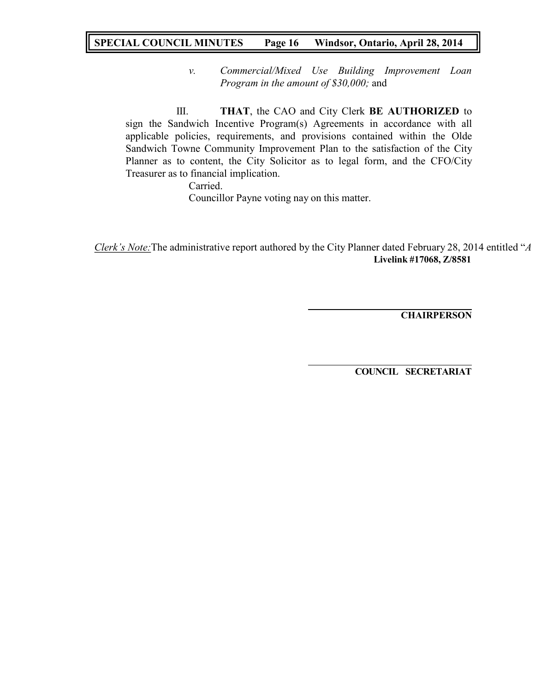# **SPECIAL COUNCIL MINUTES Page 16 Windsor, Ontario, April 28, 2014**

*v. Commercial/Mixed Use Building Improvement Loan Program in the amount of \$30,000;* and

III. **THAT**, the CAO and City Clerk **BE AUTHORIZED** to sign the Sandwich Incentive Program(s) Agreements in accordance with all applicable policies, requirements, and provisions contained within the Olde Sandwich Towne Community Improvement Plan to the satisfaction of the City Planner as to content, the City Solicitor as to legal form, and the CFO/City Treasurer as to financial implication.

Carried. Councillor Payne voting nay on this matter.

*Clerk's Note:*The administrative report authored by the City Planner dated February 28, 2014 entitled "*A* **Livelink #17068, Z/8581**

**CHAIRPERSON**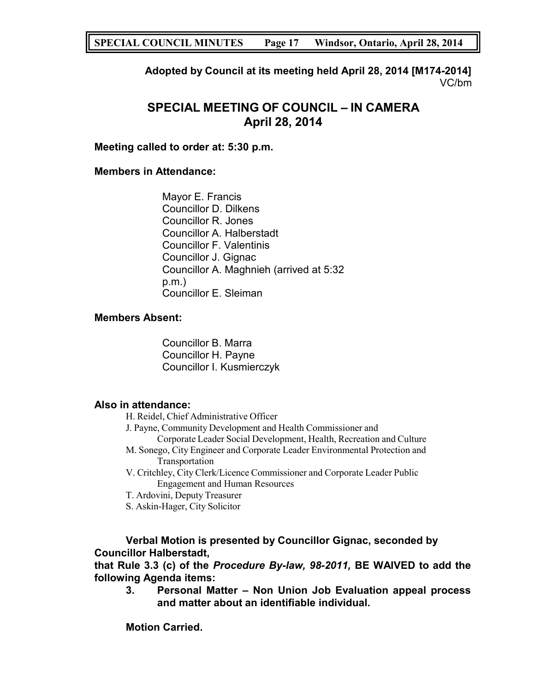**Adopted by Council at its meeting held April 28, 2014 [M174-2014]** VC/bm

# **SPECIAL MEETING OF COUNCIL – IN CAMERA April 28, 2014**

# **Meeting called to order at: 5:30 p.m.**

# **Members in Attendance:**

Mayor E. Francis Councillor D. Dilkens Councillor R. Jones Councillor A. Halberstadt Councillor F. Valentinis Councillor J. Gignac Councillor A. Maghnieh (arrived at 5:32 p.m.) Councillor E. Sleiman

## **Members Absent:**

Councillor B. Marra Councillor H. Payne Councillor I. Kusmierczyk

## **Also in attendance:**

H. Reidel, Chief Administrative Officer

- J. Payne, Community Development and Health Commissioner and Corporate Leader Social Development, Health, Recreation and Culture
- M. Sonego, City Engineer and Corporate Leader Environmental Protection and Transportation
- V. Critchley, City Clerk/Licence Commissioner and Corporate Leader Public Engagement and Human Resources
- T. Ardovini, Deputy Treasurer
- S. Askin-Hager, City Solicitor

# **Verbal Motion is presented by Councillor Gignac, seconded by Councillor Halberstadt,**

**that Rule 3.3 (c) of the** *Procedure By-law, 98-2011,* **BE WAIVED to add the following Agenda items:**

**3. Personal Matter – Non Union Job Evaluation appeal process and matter about an identifiable individual.**

**Motion Carried.**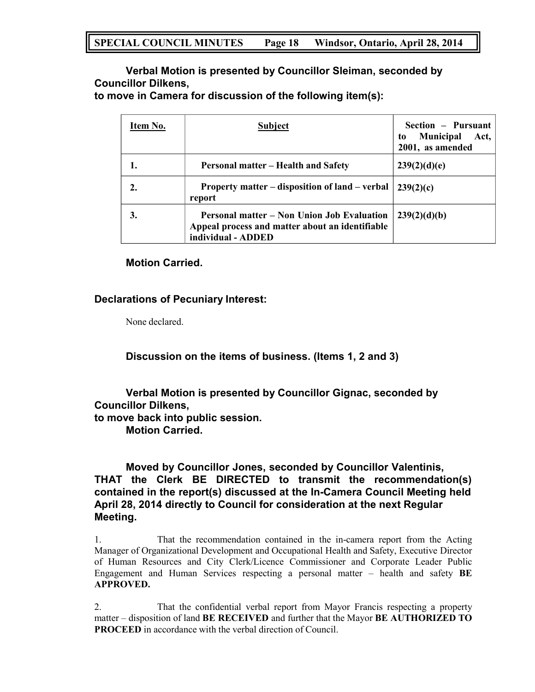**Verbal Motion is presented by Councillor Sleiman, seconded by Councillor Dilkens,**

**to move in Camera for discussion of the following item(s):**

| Item No. | <b>Subject</b>                                                                                                      | Section - Pursuant<br><b>Municipal</b><br>Act,<br>to<br>2001, as amended |
|----------|---------------------------------------------------------------------------------------------------------------------|--------------------------------------------------------------------------|
|          | <b>Personal matter – Health and Safety</b>                                                                          | 239(2)(d)(e)                                                             |
| 2.       | Property matter – disposition of land – verbal<br>report                                                            | 239(2)(c)                                                                |
| 3.       | Personal matter – Non Union Job Evaluation<br>Appeal process and matter about an identifiable<br>individual - ADDED | 239(2)(d)(b)                                                             |

## **Motion Carried.**

## **Declarations of Pecuniary Interest:**

None declared.

**Discussion on the items of business. (Items 1, 2 and 3)**

**Verbal Motion is presented by Councillor Gignac, seconded by Councillor Dilkens, to move back into public session. Motion Carried.**

**Moved by Councillor Jones, seconded by Councillor Valentinis, THAT the Clerk BE DIRECTED to transmit the recommendation(s) contained in the report(s) discussed at the In-Camera Council Meeting held April 28, 2014 directly to Council for consideration at the next Regular Meeting.**

1. That the recommendation contained in the in-camera report from the Acting Manager of Organizational Development and Occupational Health and Safety, Executive Director of Human Resources and City Clerk/Licence Commissioner and Corporate Leader Public Engagement and Human Services respecting a personal matter – health and safety **BE APPROVED.**

2. That the confidential verbal report from Mayor Francis respecting a property matter – disposition of land **BE RECEIVED** and further that the Mayor **BE AUTHORIZED TO PROCEED** in accordance with the verbal direction of Council.